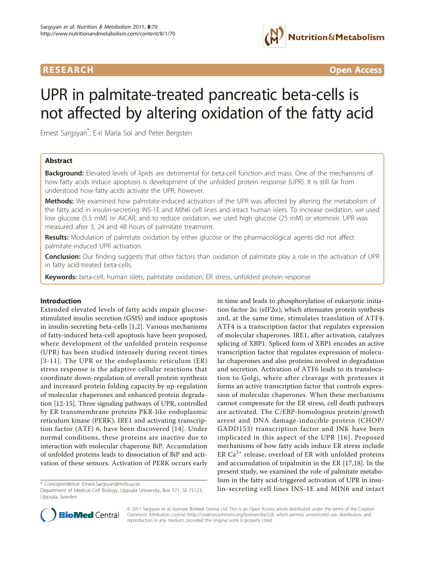

**RESEARCH CONTROL** CONTROL CONTROL CONTROL CONTROL CONTROL CONTROL CONTROL CONTROL CONTROL CONTROL CONTROL CONTROL CONTROL CONTROL CONTROL CONTROL CONTROL CONTROL CONTROL CONTROL CONTROL CONTROL CONTROL CONTROL CONTROL CON

# UPR in palmitate-treated pancreatic beta-cells is not affected by altering oxidation of the fatty acid

Ernest Sargsyan\* , E-ri Maria Sol and Peter Bergsten

# Abstract

**Background:** Elevated levels of lipids are detrimental for beta-cell function and mass. One of the mechanisms of how fatty acids induce apoptosis is development of the unfolded protein response (UPR). It is still far from understood how fatty acids activate the UPR, however.

Methods: We examined how palmitate-induced activation of the UPR was affected by altering the metabolism of the fatty acid in insulin-secreting INS-1E and MIN6 cell lines and intact human islets. To increase oxidation, we used low glucose (5.5 mM) or AICAR; and to reduce oxidation, we used high glucose (25 mM) or etomoxir. UPR was measured after 3, 24 and 48 hours of palmitate treatment.

**Results:** Modulation of palmitate oxidation by either glucose or the pharmacological agents did not affect palmitate-induced UPR activation.

Conclusion: Our finding suggests that other factors than oxidation of palmitate play a role in the activation of UPR in fatty acid-treated beta-cells.

Keywords: beta-cell, human islets, palmitate oxidation, ER stress, unfolded protein response

## Introduction

Extended elevated levels of fatty acids impair glucosestimulated insulin secretion (GSIS) and induce apoptosis in insulin-secreting beta-cells [\[1](#page-6-0),[2](#page-6-0)]. Various mechanisms of fatty-induced beta-cell apoptosis have been proposed, where development of the unfolded protein response (UPR) has been studied intensely during recent times [[3-11\]](#page-6-0). The UPR or the endoplasmic reticulum (ER) stress response is the adaptive cellular reactions that coordinate down-regulation of overall protein synthesis and increased protein folding capacity by up-regulation of molecular chaperones and enhanced protein degradation [[12](#page-6-0)-[15\]](#page-6-0). Three signaling pathways of UPR, controlled by ER transmembrane proteins PKR-like endoplasmic reticulum kinase (PERK), IRE1 and activating transcription factor (ATF) 6, have been discovered [[14\]](#page-6-0). Under normal conditions, these proteins are inactive due to interaction with molecular chaperone BiP. Accumulation of unfolded proteins leads to dissociation of BiP and activation of these sensors. Activation of PERK occurs early

in time and leads to phosphorylation of eukaryotic initiation factor  $2\alpha$  (eIF2 $\alpha$ ), which attenuates protein synthesis and, at the same time, stimulates translation of ATF4. ATF4 is a transcription factor that regulates expression of molecular chaperones. IRE1, after activation, catalyzes splicing of XBP1. Spliced form of XBP1 encodes an active transcription factor that regulates expression of molecular chaperones and also proteins involved in degradation and secretion. Activation of ATF6 leads to its translocation to Golgi, where after cleavage with proteases it forms an active transcription factor that controls expression of molecular chaperones. When these mechanisms cannot compensate for the ER stress, cell death pathways are activated. The C/EBP-homologous protein/growth arrest and DNA damage-inducible protein (CHOP/ GADD153) transcription factor and JNK have been implicated in this aspect of the UPR [[16\]](#page-6-0). Proposed mechanisms of how fatty acids induce ER stress include ER  $Ca^{2+}$  release, overload of ER with unfolded proteins and accumulation of tripalmitin in the ER [[17,18\]](#page-6-0). In the present study, we examined the role of palmitate metabolism in the fatty acid-triggered activation of UPR in insulin-secreting cell lines INS-1E and MIN6 and intact \* Correspondence: [Ernest.Sargsyan@mcb.uu.se](mailto:Ernest.Sargsyan@mcb.uu.se)



© 2011 Sargsyan et al; licensee BioMed Central Ltd. This is an Open Access article distributed under the terms of the Creative Commons Attribution License [\(http://creativecommons.org/licenses/by/2.0](http://creativecommons.org/licenses/by/2.0)), which permits unrestricted use, distribution, and reproduction in any medium, provided the original work is properly cited.

Department of Medical Cell Biology, Uppsala University, Box 571, SE-75123, Uppsala, Sweden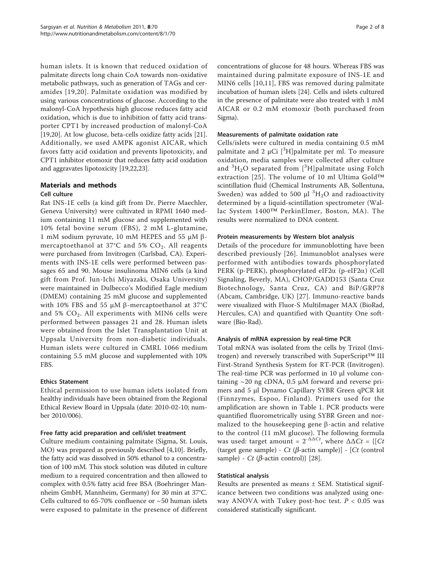human islets. It is known that reduced oxidation of palmitate directs long chain CoA towards non-oxidative metabolic pathways, such as generation of TAGs and ceramides [[19](#page-6-0),[20](#page-6-0)]. Palmitate oxidation was modified by using various concentrations of glucose. According to the malonyl-CoA hypothesis high glucose reduces fatty acid oxidation, which is due to inhibition of fatty acid transporter CPT1 by increased production of malonyl-CoA [[19,20\]](#page-6-0). At low glucose, beta-cells oxidize fatty acids [\[21](#page-6-0)]. Additionally, we used AMPK agonist AICAR, which favors fatty acid oxidation and prevents lipotoxicity, and CPT1 inhibitor etomoxir that reduces fatty acid oxidation and aggravates lipotoxicity [\[19,22,](#page-6-0)[23\]](#page-7-0).

#### Materials and methods Cell culture

Rat INS-1E cells (a kind gift from Dr. Pierre Maechler, Geneva University) were cultivated in RPMI 1640 medium containing 11 mM glucose and supplemented with 10% fetal bovine serum (FBS), 2 mM L-glutamine, 1 mM sodium pyruvate, 10 mM HEPES and 55 μM βmercaptoethanol at 37 $^{\circ}$ C and 5% CO<sub>2</sub>. All reagents were purchased from Invitrogen (Carlsbad, CA). Experiments with INS-1E cells were performed between passages 65 and 90. Mouse insulinoma MIN6 cells (a kind gift from Prof. Jun-Ichi Miyazaki, Osaka University) were maintained in Dulbecco's Modified Eagle medium (DMEM) containing 25 mM glucose and supplemented with 10% FBS and 55 μM β-mercaptoethanol at 37°C and 5%  $CO<sub>2</sub>$ . All experiments with MIN6 cells were performed between passages 21 and 28. Human islets were obtained from the Islet Transplantation Unit at Uppsala University from non-diabetic individuals. Human islets were cultured in CMRL 1066 medium containing 5.5 mM glucose and supplemented with 10% FBS.

# Ethics Statement

Ethical permission to use human islets isolated from healthy individuals have been obtained from the Regional Ethical Review Board in Uppsala (date: 2010-02-10; number 2010/006).

## Free fatty acid preparation and cell/islet treatment

Culture medium containing palmitate (Sigma, St. Louis, MO) was prepared as previously described [[4,10\]](#page-6-0). Briefly, the fatty acid was dissolved in 50% ethanol to a concentration of 100 mM. This stock solution was diluted in culture medium to a required concentration and then allowed to complex with 0.5% fatty acid free BSA (Boehringer Mannheim GmbH, Mannheim, Germany) for 30 min at 37°C. Cells cultured to 65-70% confluence or ~50 human islets were exposed to palmitate in the presence of different concentrations of glucose for 48 hours. Whereas FBS was maintained during palmitate exposure of INS-1E and MIN6 cells [\[10,11](#page-6-0)], FBS was removed during palmitate incubation of human islets [\[24](#page-7-0)]. Cells and islets cultured in the presence of palmitate were also treated with 1 mM AICAR or 0.2 mM etomoxir (both purchased from Sigma).

# Measurements of palmitate oxidation rate

Cells/islets were cultured in media containing 0.5 mM palmitate and 2  $\mu$ Ci [<sup>3</sup>H]palmitate per ml. To measure oxidation, media samples were collected after culture and  ${}^{3}H_{2}O$  separated from  $[{}^{3}H]$ palmitate using Folch extraction [[25\]](#page-7-0). The volume of 10 ml Ultima Gold™ scintillation fluid (Chemical Instruments AB, Sollentuna, Sweden) was added to 500  $\mu$ l  $^{3}H_{2}O$  and radioactivity determined by a liquid-scintillation spectrometer (Wallac System 1400™ PerkinElmer, Boston, MA). The results were normalized to DNA content.

# Protein measurements by Western blot analysis

Details of the procedure for immunoblotting have been described previously [\[26\]](#page-7-0). Immunoblot analyses were performed with antibodies towards phosphorylated PERK (p-PERK), phosphorylated eIF2 $\alpha$  (p-eIF2 $\alpha$ ) (Cell Signaling, Beverly, MA), CHOP/GADD153 (Santa Cruz Biotechnology, Santa Cruz, CA) and BiP/GRP78 (Abcam, Cambridge, UK) [[27](#page-7-0)]. Immuno-reactive bands were visualized with Fluor-S MultiImager MAX (BioRad, Hercules, CA) and quantified with Quantity One software (Bio-Rad).

## Analysis of mRNA expression by real-time PCR

Total mRNA was isolated from the cells by Trizol (Invitrogen) and reversely transcribed with SuperScript™ III First-Strand Synthesis System for RT-PCR (Invitrogen). The real-time PCR was performed in 10 μl volume containing  $\sim$  20 ng cDNA, 0.5  $\mu$ M forward and reverse primers and 5 μl Dynamo Capillary SYBR Green qPCR kit (Finnzymes, Espoo, Finland). Primers used for the amplification are shown in Table [1.](#page-2-0) PCR products were quantified fluorometrically using SYBR Green and normalized to the housekeeping gene  $\beta$ -actin and relative to the control (11 mM glucose). The following formula was used: target amount =  $2^{-\Delta \Delta Ct}$ , where  $\Delta \Delta Ct$  = {[Ct] (target gene sample) - Ct ( $\beta$ -actin sample)] - [Ct (control sample) - Ct ( $\beta$ -actin control)} [\[28\]](#page-7-0).

## Statistical analysis

Results are presented as means ± SEM. Statistical significance between two conditions was analyzed using oneway ANOVA with Tukey post-hoc test.  $P < 0.05$  was considered statistically significant.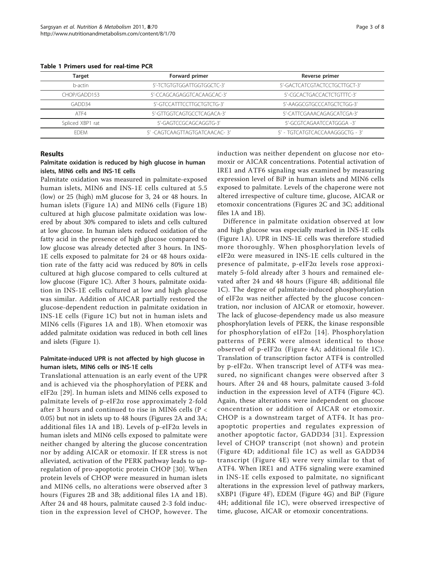| Target           | Forward primer                | Reverse primer                  |
|------------------|-------------------------------|---------------------------------|
| b-actin          | 5'-TCTGTGTGGATTGGTGGCTC-3'    | 5'-GACTCATCGTACTCCTGCTTGCT-3'   |
| CHOP/GADD153     | 5'-CCAGCAGAGGTCACAAGCAC-3'    | 5'-CGCACTGACCACTCTGTTTC-3'      |
| GADD34           | 5'-GTCCATTTCCTTGCTGTCTG-3'    | 5'-AAGGCGTGCCCATGCTCTGG-3'      |
| ATF4             | 5'-GTTGGTCAGTGCCTCAGACA-3'    | 5'-CATTCGAAACAGAGCATCGA-3'      |
| Spliced XBP1 rat | 5'-GAGTCCGCAGCAGGTG-3'        | 5'-GCGTCAGAATCCATGGGA -3'       |
| <b>FDFM</b>      | 5' -CAGTCAAGTTAGTGATCAACAC-3' | 5' - TGTCATGTCACCAAAGGGCTG - 3' |

<span id="page-2-0"></span>Table 1 Primers used for real-time PCR

#### Results

#### Palmitate oxidation is reduced by high glucose in human islets, MIN6 cells and INS-1E cells

Palmitate oxidation was measured in palmitate-exposed human islets, MIN6 and INS-1E cells cultured at 5.5 (low) or 25 (high) mM glucose for 3, 24 or 48 hours. In human islets (Figure [1A\)](#page-3-0) and MIN6 cells (Figure [1B](#page-3-0)) cultured at high glucose palmitate oxidation was lowered by about 30% compared to islets and cells cultured at low glucose. In human islets reduced oxidation of the fatty acid in the presence of high glucose compared to low glucose was already detected after 3 hours. In INS-1E cells exposed to palmitate for 24 or 48 hours oxidation rate of the fatty acid was reduced by 80% in cells cultured at high glucose compared to cells cultured at low glucose (Figure [1C\)](#page-3-0). After 3 hours, palmitate oxidation in INS-1E cells cultured at low and high glucose was similar. Addition of AICAR partially restored the glucose-dependent reduction in palmitate oxidation in INS-1E cells (Figure [1C\)](#page-3-0) but not in human islets and MIN6 cells (Figures [1A](#page-3-0) and [1B](#page-3-0)). When etomoxir was added palmitate oxidation was reduced in both cell lines and islets (Figure [1](#page-3-0)).

#### Palmitate-induced UPR is not affected by high glucose in human islets, MIN6 cells or INS-1E cells

Translational attenuation is an early event of the UPR and is achieved via the phosphorylation of PERK and eIF2 $\alpha$  [[29](#page-7-0)]. In human islets and MIN6 cells exposed to palmitate levels of  $p$ -eIF2 $\alpha$  rose approximately 2-fold after 3 hours and continued to rise in MIN6 cells (P < 0.05) but not in islets up to 48 hours (Figures [2A](#page-3-0) and [3A](#page-4-0); additional files [1A](#page-6-0) and [1B](#page-6-0)). Levels of  $p$ -eIF2 $\alpha$  levels in human islets and MIN6 cells exposed to palmitate were neither changed by altering the glucose concentration nor by adding AICAR or etomoxir. If ER stress is not alleviated, activation of the PERK pathway leads to upregulation of pro-apoptotic protein CHOP [[30](#page-7-0)]. When protein levels of CHOP were measured in human islets and MIN6 cells, no alterations were observed after 3 hours (Figures [2B](#page-3-0) and [3B;](#page-4-0) additional files [1A](#page-6-0) and [1B\)](#page-6-0). After 24 and 48 hours, palmitate caused 2-3 fold induction in the expression level of CHOP, however. The induction was neither dependent on glucose nor etomoxir or AICAR concentrations. Potential activation of IRE1 and ATF6 signaling was examined by measuring expression level of BiP in human islets and MIN6 cells exposed to palmitate. Levels of the chaperone were not altered irrespective of culture time, glucose, AICAR or etomoxir concentrations (Figures [2C](#page-3-0) and [3C;](#page-4-0) additional files [1A](#page-6-0) and [1B](#page-6-0)).

Difference in palmitate oxidation observed at low and high glucose was especially marked in INS-1E cells (Figure [1A\)](#page-3-0). UPR in INS-1E cells was therefore studied more thoroughly. When phosphorylation levels of eIF2 $\alpha$  were measured in INS-1E cells cultured in the presence of palmitate,  $p$ -eIF2 $\alpha$  levels rose approximately 5-fold already after 3 hours and remained elevated after 24 and 48 hours (Figure [4B;](#page-5-0) additional file [1C\)](#page-6-0). The degree of palmitate-induced phosphorylation of eIF2 $\alpha$  was neither affected by the glucose concentration, nor inclusion of AICAR or etomoxir, however. The lack of glucose-dependency made us also measure phosphorylation levels of PERK, the kinase responsible for phosphorylation of eIF2 $\alpha$  [[14\]](#page-6-0). Phosphorylation patterns of PERK were almost identical to those observed of p-eIF2 $\alpha$  (Figure [4A;](#page-5-0) additional file [1C\)](#page-6-0). Translation of transcription factor ATF4 is controlled by p-eIF2 $\alpha$ . When transcript level of ATF4 was measured, no significant changes were observed after 3 hours. After 24 and 48 hours, palmitate caused 3-fold induction in the expression level of ATF4 (Figure [4C](#page-5-0)). Again, these alterations were independent on glucose concentration or addition of AICAR or etomoxir. CHOP is a downstream target of ATF4. It has proapoptotic properties and regulates expression of another apoptotic factor, GADD34 [[31](#page-7-0)]. Expression level of CHOP transcript (not shown) and protein (Figure [4D](#page-5-0); additional file [1C\)](#page-6-0) as well as GADD34 transcript (Figure [4E](#page-5-0)) were very similar to that of ATF4. When IRE1 and ATF6 signaling were examined in INS-1E cells exposed to palmitate, no significant alterations in the expression level of pathway markers, sXBP1 (Figure [4F](#page-5-0)), EDEM (Figure [4G](#page-5-0)) and BiP (Figure [4H;](#page-5-0) additional file [1C](#page-6-0)), were observed irrespective of time, glucose, AICAR or etomoxir concentrations.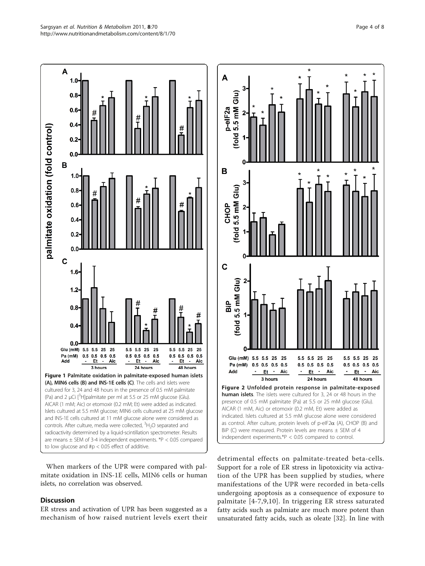<span id="page-3-0"></span>

When markers of the UPR were compared with palmitate oxidation in INS-1E cells, MIN6 cells or human islets, no correlation was observed.

# **Discussion**

ER stress and activation of UPR has been suggested as a mechanism of how raised nutrient levels exert their detrimental effects on palmitate-treated beta-cells. Support for a role of ER stress in lipotoxicity via activation of the UPR has been supplied by studies, where manifestations of the UPR were recorded in beta-cells undergoing apoptosis as a consequence of exposure to palmitate [[4-7,9](#page-6-0),[10\]](#page-6-0). In triggering ER stress saturated fatty acids such as palmiate are much more potent than unsaturated fatty acids, such as oleate [[32\]](#page-7-0). In line with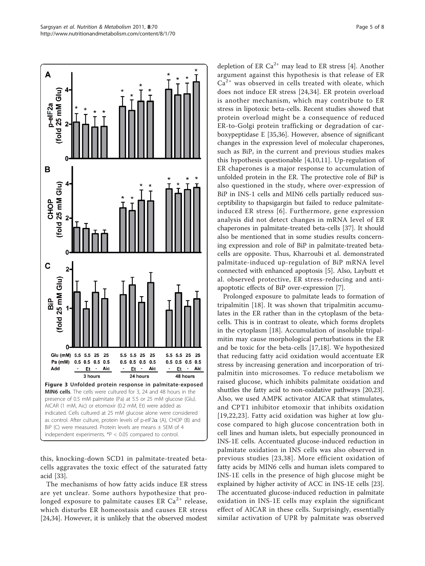<span id="page-4-0"></span>

this, knocking-down SCD1 in palmitate-treated betacells aggravates the toxic effect of the saturated fatty acid [[33](#page-7-0)].

The mechanisms of how fatty acids induce ER stress are yet unclear. Some authors hypothesize that prolonged exposure to palmitate causes ER  $Ca^{2+}$  release, which disturbs ER homeostasis and causes ER stress [[24,34\]](#page-7-0). However, it is unlikely that the observed modest

depletion of ER  $Ca^{2+}$  may lead to ER stress [[4\]](#page-6-0). Another argument against this hypothesis is that release of ER  $Ca<sup>2+</sup>$  was observed in cells treated with oleate, which does not induce ER stress [[24,34](#page-7-0)]. ER protein overload is another mechanism, which may contribute to ER stress in lipotoxic beta-cells. Recent studies showed that protein overload might be a consequence of reduced ER-to-Golgi protein trafficking or degradation of carboxypeptidase E [[35,36\]](#page-7-0). However, absence of significant changes in the expression level of molecular chaperones, such as BiP, in the current and previous studies makes this hypothesis questionable [\[4,10](#page-6-0),[11\]](#page-6-0). Up-regulation of ER chaperones is a major response to accumulation of unfolded protein in the ER. The protective role of BiP is also questioned in the study, where over-expression of BiP in INS-1 cells and MIN6 cells partially reduced susceptibility to thapsigargin but failed to reduce palmitateinduced ER stress [[6](#page-6-0)]. Furthermore, gene expression analysis did not detect changes in mRNA level of ER chaperones in palmitate-treated beta-cells [\[37\]](#page-7-0). It should also be mentioned that in some studies results concerning expression and role of BiP in palmitate-treated betacells are opposite. Thus, Kharroubi et al. demonstrated palmitate-induced up-regulation of BiP mRNA level connected with enhanced apoptosis [[5\]](#page-6-0). Also, Laybutt et al. observed protective, ER stress-reducing and antiapoptotic effects of BiP over-expression [[7\]](#page-6-0).

Prolonged exposure to palmitate leads to formation of tripalmitin [[18](#page-6-0)]. It was shown that tripalmitin accumulates in the ER rather than in the cytoplasm of the betacells. This is in contrast to oleate, which forms droplets in the cytoplasm [[18\]](#page-6-0). Accumulation of insoluble tripalmitin may cause morphological perturbations in the ER and be toxic for the beta-cells [[17](#page-6-0),[18\]](#page-6-0). We hypothesized that reducing fatty acid oxidation would accentuate ER stress by increasing generation and incorporation of tripalmitin into microsomes. To reduce metabolism we raised glucose, which inhibits palmitate oxidation and shuttles the fatty acid to non-oxidative pathways [[20](#page-6-0),[23](#page-7-0)]. Also, we used AMPK activator AICAR that stimulates, and CPT1 inhibitor etomoxir that inhibits oxidation [[19](#page-6-0),[22,](#page-6-0)[23](#page-7-0)]. Fatty acid oxidation was higher at low glucose compared to high glucose concentration both in cell lines and human islets, but especially pronounced in INS-1E cells. Accentuated glucose-induced reduction in palmitate oxidation in INS cells was also observed in previous studies [[23,38\]](#page-7-0). More efficient oxidation of fatty acids by MIN6 cells and human islets compared to INS-1E cells in the presence of high glucose might be explained by higher activity of ACC in INS-1E cells [[23](#page-7-0)]. The accentuated glucose-induced reduction in palmitate oxidation in INS-1E cells may explain the significant effect of AICAR in these cells. Surprisingly, essentially similar activation of UPR by palmitate was observed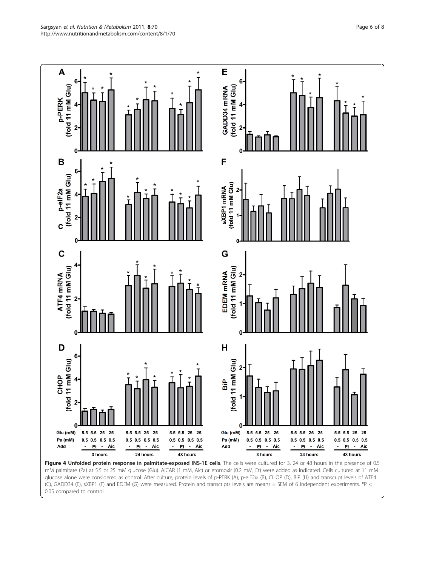<span id="page-5-0"></span>

mM palmitate (Pa) at 5.5 or 25 mM glucose (Glu). AICAR (1 mM, Aic) or etomoxir (0.2 mM, Et) were added as indicated. Cells cultured at 11 mM glucose alone were considered as control. After culture, protein levels of p-PERK (A), p-elF2α (B), CHOP (D), BiP (H) and transcript levels of ATF4 (C), GADD34 (E), sXBP1 (F) and EDEM (G) were measured. Protein and transcripts levels are means ± SEM of 6 independent experiments. \*P < 0.05 compared to control.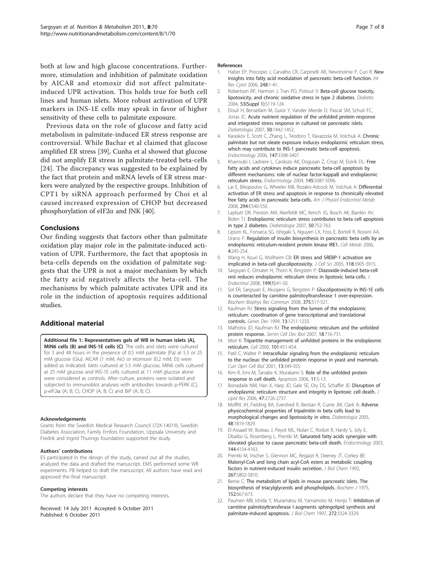<span id="page-6-0"></span>both at low and high glucose concentrations. Furthermore, stimulation and inhibition of palmitate oxidation by AICAR and etomoxir did not affect palmitateinduced UPR activation. This holds true for both cell lines and human islets. More robust activation of UPR markers in INS-1E cells may speak in favor of higher sensitivity of these cells to palmitate exposure.

Previous data on the role of glucose and fatty acid metabolism in palmitate-induced ER stress response are controversial. While Bachar et al claimed that glucose amplified ER stress [\[39](#page-7-0)], Cunha et al showed that glucose did not amplify ER stress in palmitate-treated beta-cells [[24](#page-7-0)]. The discrepancy was suggested to be explained by the fact that protein and mRNA levels of ER stress markers were analyzed by the respective groups. Inhibition of CPT1 by siRNA approach performed by Choi et al caused increased expression of CHOP but decreased phosphorylation of eIF2 $\alpha$  and JNK [\[40\]](#page-7-0).

## **Conclusions**

Our finding suggests that factors other than palmitate oxidation play major role in the palmitate-induced activation of UPR. Furthermore, the fact that apoptosis in beta-cells depends on the oxidation of palmitate suggests that the UPR is not a major mechanism by which the fatty acid negatively affects the beta-cell. The mechanisms by which palmitate activates UPR and its role in the induction of apoptosis requires additional studies.

# Additional material

[Additional file 1: R](http://www.biomedcentral.com/content/supplementary/1743-7075-8-70-S1.JPEG)epresentatives gels of WB in human islets (A), MIN6 cells (B) and INS-1E cells (C). The cells and islets were cultured for 3 and 48 hours in the presence of 0.5 mM palmitate (Pa) at 5.5 or 25 mM glucose (Glu). AICAR (1 mM; Aic) or etomoxir (0.2 mM; Et) were added as indicated. Islets cultured at 5.5 mM glucose, MIN6 cells cultured at 25 mM glucose and INS-1E cells cultured at 11 mM glucose alone were considered as controls. After culture, proteins were isolated and subjected to immunoblot analyses with antibodies towards p-PERK (C),  $p$ -eIF2 $\alpha$  (A; B; C), CHOP (A; B; C) and BiP (A; B; C).

#### Acknowledgements

Grants from the Swedish Medical Research Council (72X-14019), Swedish Diabetes Association, Family Ernfors Foundation, Uppsala University and Fredrik and Ingrid Thurings foundation supported the study.

#### Authors' contributions

ES participated in the design of the study, carried out all the studies, analyzed the data and drafted the manuscript. EMS performed some WB experiments. PB helped to draft the manuscript. All authors have read and approved the final manuscript.

#### Competing interests

The authors declare that they have no competing interests.

Received: 14 July 2011 Accepted: 6 October 2011 Published: 6 October 2011

#### References

- 1. Haber EP, Procopio J, Carvalho CR, Carpinelli AR, [New](http://www.ncbi.nlm.nih.gov/pubmed/16487789?dopt=Abstract)sholme P, Curi R: New [insights into fatty acid modulation of pancreatic beta-cell function.](http://www.ncbi.nlm.nih.gov/pubmed/16487789?dopt=Abstract) Int Rev Cytol 2006, 248:1-41.
- 2. Robertson RP, Harmon J, Tran PO, Poitout V: [Beta-cell glucose toxicity,](http://www.ncbi.nlm.nih.gov/pubmed/14749276?dopt=Abstract) [lipotoxicity, and chronic oxidative stress in type 2 diabetes.](http://www.ncbi.nlm.nih.gov/pubmed/14749276?dopt=Abstract) Diabetes 2004, 53(Suppl 1):S119-124.
- 3. Elouil H, Bensellam M, Guiot Y, Vander Mierde D, Pascal SM, Schuit FC, Jonas JC: [Acute nutrient regulation of the unfolded protein response](http://www.ncbi.nlm.nih.gov/pubmed/17497122?dopt=Abstract) [and integrated stress response in cultured rat pancreatic islets.](http://www.ncbi.nlm.nih.gov/pubmed/17497122?dopt=Abstract) Diabetologia 2007, 50:1442-1452.
- 4. Karaskov E, Scott C, Zhang L, Teodoro T, Ravazzola M, Volchuk A: [Chronic](http://www.ncbi.nlm.nih.gov/pubmed/16601139?dopt=Abstract) [palmitate but not oleate exposure induces endoplasmic reticulum stress,](http://www.ncbi.nlm.nih.gov/pubmed/16601139?dopt=Abstract) [which may contribute to INS-1 pancreatic beta-cell apoptosis.](http://www.ncbi.nlm.nih.gov/pubmed/16601139?dopt=Abstract) Endocrinology 2006, 147:3398-3407.
- Kharroubi I, Ladriere L, Cardozo AK, Dogusan Z, Cnop M, Eizirik DL: [Free](http://www.ncbi.nlm.nih.gov/pubmed/15297438?dopt=Abstract) [fatty acids and cytokines induce pancreatic beta-cell apoptosis by](http://www.ncbi.nlm.nih.gov/pubmed/15297438?dopt=Abstract) [different mechanisms: role of nuclear factor-kappaB and endoplasmic](http://www.ncbi.nlm.nih.gov/pubmed/15297438?dopt=Abstract) [reticulum stress.](http://www.ncbi.nlm.nih.gov/pubmed/15297438?dopt=Abstract) Endocrinology 2004, 145:5087-5096.
- 6. Lai E, Bikopoulos G, Wheeler MB, Rozakis-Adcock M, Volchuk A: [Differential](http://www.ncbi.nlm.nih.gov/pubmed/18198352?dopt=Abstract) [activation of ER stress and apoptosis in response to chronically elevated](http://www.ncbi.nlm.nih.gov/pubmed/18198352?dopt=Abstract) [free fatty acids in pancreatic beta-cells.](http://www.ncbi.nlm.nih.gov/pubmed/18198352?dopt=Abstract) Am J Physiol Endocrinol Metab 2008, 294:E540-550.
- 7. Laybutt DR, Preston AM, Akerfeldt MC, Kench JG, Busch AK, Biankin AV, Biden TJ: [Endoplasmic reticulum stress contributes to beta cell apoptosis](http://www.ncbi.nlm.nih.gov/pubmed/17268797?dopt=Abstract) [in type 2 diabetes.](http://www.ncbi.nlm.nih.gov/pubmed/17268797?dopt=Abstract) Diabetologia 2007, 50:752-763.
- Lipson KL, Fonseca SG, Ishigaki S, Nguyen LX, Foss E, Bortell R, Rossini AA, Urano F: [Regulation of insulin biosynthesis in pancreatic beta cells by an](http://www.ncbi.nlm.nih.gov/pubmed/16950141?dopt=Abstract) [endoplasmic reticulum-resident protein kinase IRE1.](http://www.ncbi.nlm.nih.gov/pubmed/16950141?dopt=Abstract) Cell Metab 2006, 4:245-254.
- 9. Wang H, Kouri G, Wollheim CB: [ER stress and SREBP-1 activation are](http://www.ncbi.nlm.nih.gov/pubmed/16091421?dopt=Abstract) [implicated in beta-cell glucolipotoxicity.](http://www.ncbi.nlm.nih.gov/pubmed/16091421?dopt=Abstract) J Cell Sci 2005, 118:3905-3915.
- 10. Sargsyan E, Ortsater H, Thorn K, Bergsten P: [Diazoxide-induced beta-cell](http://www.ncbi.nlm.nih.gov/pubmed/18644846?dopt=Abstract) [rest reduces endoplasmic reticulum stress in lipotoxic beta-cells.](http://www.ncbi.nlm.nih.gov/pubmed/18644846?dopt=Abstract) J Endocrinol 2008, 199(1):41-50.
- 11. Sol ER, Sargsyan E, Akusjarvi G, Bergsten P: [Glucolipotoxicity in INS-1E cells](http://www.ncbi.nlm.nih.gov/pubmed/18706397?dopt=Abstract) [is counteracted by carnitine palmitoyltransferase 1 over-expression.](http://www.ncbi.nlm.nih.gov/pubmed/18706397?dopt=Abstract) Biochem Biophys Res Commun 2008, 375:517-521.
- 12. Kaufman RJ: [Stress signaling from the lumen of the endoplasmic](http://www.ncbi.nlm.nih.gov/pubmed/10346810?dopt=Abstract) [reticulum: coordination of gene transcriptional and translational](http://www.ncbi.nlm.nih.gov/pubmed/10346810?dopt=Abstract) [controls.](http://www.ncbi.nlm.nih.gov/pubmed/10346810?dopt=Abstract) Genes Dev 1999, 13:1211-1233.
- 13. Malhotra JD, Kaufman RJ: [The endoplasmic reticulum and the unfolded](http://www.ncbi.nlm.nih.gov/pubmed/18023214?dopt=Abstract) [protein response.](http://www.ncbi.nlm.nih.gov/pubmed/18023214?dopt=Abstract) Semin Cell Dev Biol 2007, 18:716-731.
- 14. Mori K: [Tripartite management of unfolded proteins in the endoplasmic](http://www.ncbi.nlm.nih.gov/pubmed/10850487?dopt=Abstract) [reticulum.](http://www.ncbi.nlm.nih.gov/pubmed/10850487?dopt=Abstract) Cell 2000, 101:451-454.
- 15. Patil C, Walter P: [Intracellular signaling from the endoplasmic reticulum](http://www.ncbi.nlm.nih.gov/pubmed/11343907?dopt=Abstract) [to the nucleus: the unfolded protein response in yeast and mammals.](http://www.ncbi.nlm.nih.gov/pubmed/11343907?dopt=Abstract) Curr Opin Cell Biol 2001, 13:349-355.
- 16. Kim R, Emi M, Tanabe K, Murakami S: [Role of the unfolded protein](http://www.ncbi.nlm.nih.gov/pubmed/16374548?dopt=Abstract) [response in cell death.](http://www.ncbi.nlm.nih.gov/pubmed/16374548?dopt=Abstract) Apoptosis 2006, 11:5-13.
- 17. Borradaile NM, Han X, Harp JD, Gale SE, Ory DS, Schaffer JE: [Disruption of](http://www.ncbi.nlm.nih.gov/pubmed/16960261?dopt=Abstract) [endoplasmic reticulum structure and integrity in lipotoxic cell death.](http://www.ncbi.nlm.nih.gov/pubmed/16960261?dopt=Abstract) . Lipid Res 2006, 47:2726-2737.
- 18. Moffitt JH, Fielding BA, Evershed R, Berstan R, Currie JM, Clark A: [Adverse](http://www.ncbi.nlm.nih.gov/pubmed/16094531?dopt=Abstract) [physicochemical properties of tripalmitin in beta cells lead to](http://www.ncbi.nlm.nih.gov/pubmed/16094531?dopt=Abstract) [morphological changes and lipotoxicity in vitro.](http://www.ncbi.nlm.nih.gov/pubmed/16094531?dopt=Abstract) Diabetologia 2005, 48:1819-1829.
- 19. El-Assaad W, Buteau J, Peyot ML, Nolan C, Roduit R, Hardy S, Joly E, Dbaibo G, Rosenberg L, Prentki M: [Saturated fatty acids synergize with](http://www.ncbi.nlm.nih.gov/pubmed/12933690?dopt=Abstract) [elevated glucose to cause pancreatic beta-cell death.](http://www.ncbi.nlm.nih.gov/pubmed/12933690?dopt=Abstract) Endocrinology 2003, 144:4154-4163.
- 20. Prentki M, Vischer S, Glennon MC, Regazzi R, Deeney JT, Corkey BE: [Malonyl-CoA and long chain acyl-CoA esters as metabolic coupling](http://www.ncbi.nlm.nih.gov/pubmed/1556096?dopt=Abstract) [factors in nutrient-induced insulin secretion.](http://www.ncbi.nlm.nih.gov/pubmed/1556096?dopt=Abstract) J Biol Chem 1992, 267:5802-5810.
- 21. Berne C: [The metabolism of lipids in mouse pancreatic islets. The](http://www.ncbi.nlm.nih.gov/pubmed/819002?dopt=Abstract) [biosynthesis of triacylglycerols and phospholipids.](http://www.ncbi.nlm.nih.gov/pubmed/819002?dopt=Abstract) Biochem J 1975, 152:667-673.
- 22. Paumen MB, Ishida Y, Muramatsu M, Yamamoto M, Honjo T: [Inhibition of](http://www.ncbi.nlm.nih.gov/pubmed/9013572?dopt=Abstract) [carnitine palmitoyltransferase I augments sphingolipid synthesis and](http://www.ncbi.nlm.nih.gov/pubmed/9013572?dopt=Abstract) [palmitate-induced apoptosis.](http://www.ncbi.nlm.nih.gov/pubmed/9013572?dopt=Abstract) J Biol Chem 1997, 272:3324-3329.